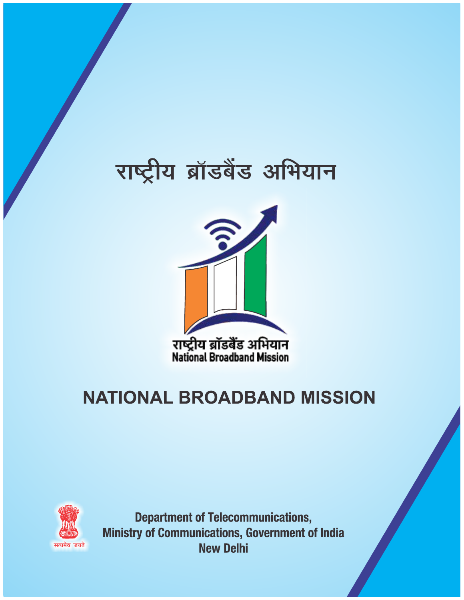# राष्ट्रीय ब्रॉडबैंड अभियान



# **NATIONAL BROADBAND MISSION**



**Department of Telecommunications, Ministry of Communications, Government of India New Delhi**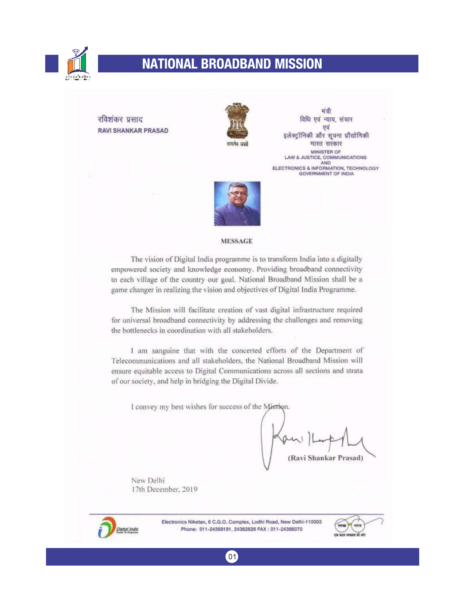

रविशंकर प्रसाद **RAVI SHANKAR PRASAD** 



मंत्री विधि एवं न्याय, संचार एवं इलेक्ट्रॉनिकी और सूचना प्रौद्योगिकी मारत सरकार **MINISTER OF** LAW & JUSTICE, COMMUNICATIONS AND ELECTRONICS & INFORMATION, TECHNOLOGY **GOVERNMENT OF INDIA** 



#### **MESSAGE**

The vision of Digital India programme is to transform India into a digitally empowered society and knowledge economy. Providing broadband connectivity to each village of the country our goal. National Broadband Mission shall be a game changer in realizing the vision and objectives of Digital India Programme.

The Mission will facilitate creation of vast digital infrastructure required for universal broadband connectivity by addressing the challenges and removing the bottlenecks in coordination with all stakeholders.

I am sanguine that with the concerted efforts of the Department of Telecommunications and all stakeholders, the National Broadband Mission will ensure equitable access to Digital Communications across all sections and strata of our society, and help in bridging the Digital Divide.

I convey my best wishes for success of the Mission.

(Ravi Shankar Prasad)

New Delhi 17th December, 2019



Electronics Niketan, 6 C.G.O. Complex, Lodhi Road, New Delhi-110003 Phone: 011-24369191, 24362626 FAX: 011-24366070



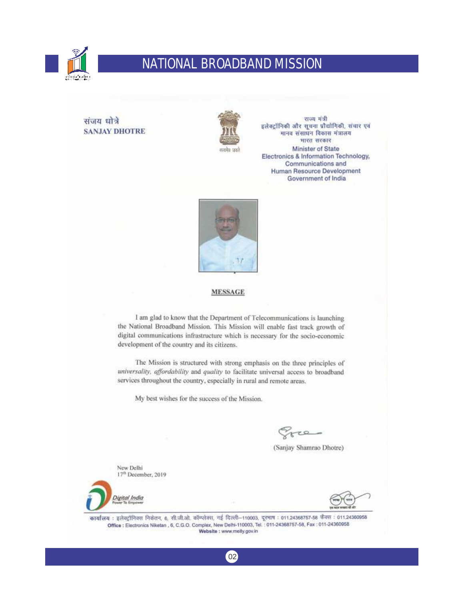

#### संजय घोत्रे **SANJAY DHOTRE**



राज्य मंत्री इलेक्ट्रॉनिकी और सूचना प्रौद्योगिकी, संचार एवं मानव संसाधन विकास मंत्रालय मारत सरकार Minister of State Electronics & Information Technology. Communications and Human Resource Development Government of India



#### **MESSAGE**

I am glad to know that the Department of Telecommunications is launching the National Broadband Mission. This Mission will enable fast track growth of digital communications infrastructure which is necessary for the socio-economic development of the country and its citizens.

The Mission is structured with strong emphasis on the three principles of universality, affordability and quality to facilitate universal access to broadband services throughout the country, especially in rural and remote areas.

My best wishes for the success of the Mission.

ree

(Sanjay Shamrao Dhotre)

New Delhi 17<sup>th</sup> December, 2019

Digital India

कार्यालय : इलेक्ट्रॉनिक्स निकेतन, 6, सी.जी.ओ. कॉम्प्लेक्स, नई दिल्ली–110003, दूरभाष : 011.24368757-58 फैक्स : 011.24360958 Office : Electronics Niketan , 6, C.G.O. Complex, New Delhi-110003, Tel. : 011-24368757-58, Fax : 011-24360958 Website : www.meity.gov.in

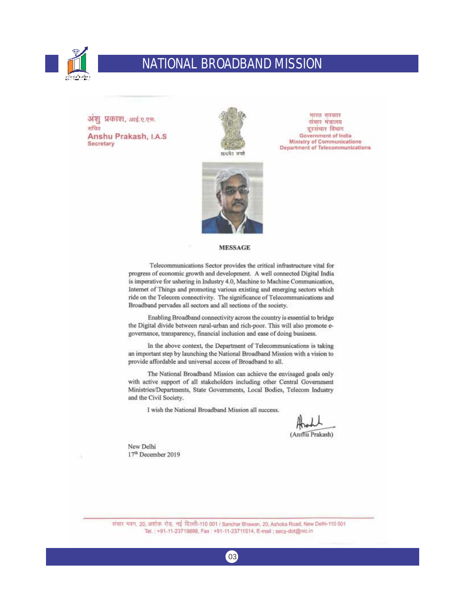

अशु प्रकाश, आई.ए.एस. सचिव Anshu Prakash, I.A.S Secretary



भारत सरकार संचार मंत्रालय दूरसंचार विभाग Government of India Ministry of Communications Department of Telecommunications



#### **MESSAGE**

Telecommunications Sector provides the critical infrastructure vital for progress of economic growth and development. A well connected Digital India is imperative for ushering in Industry 4.0, Machine to Machine Communication, Internet of Things and promoting various existing and emerging sectors which ride on the Telecom connectivity. The significance of Telecommunications and Broadband pervades all sectors and all sections of the society.

Enabling Broadband connectivity across the country is essential to bridge the Digital divide between rural-urban and rich-poor. This will also promote egovernance, transparency, financial inclusion and ease of doing business.

In the above context, the Department of Telecommunications is taking an important step by launching the National Broadband Mission with a vision to provide affordable and universal access of Broadband to all.

The National Broadband Mission can achieve the envisaged goals only with active support of all stakeholders including other Central Government Ministries/Departments, State Governments, Local Bodies, Telecom Industry and the Civil Society.

I wish the National Broadband Mission all success.

(Anshu Prakash)

New Delhi 17th December 2019

संचार भवन, 20, अशोक रोड़, नई दिल्ली-110 001 / Sanchar Bhawan, 20, Ashoka Road, New Delhi-110 001 Tel.: +91-11-23719898, Fax: +91-11-23711514, E-mail: secy-dot@nic.in

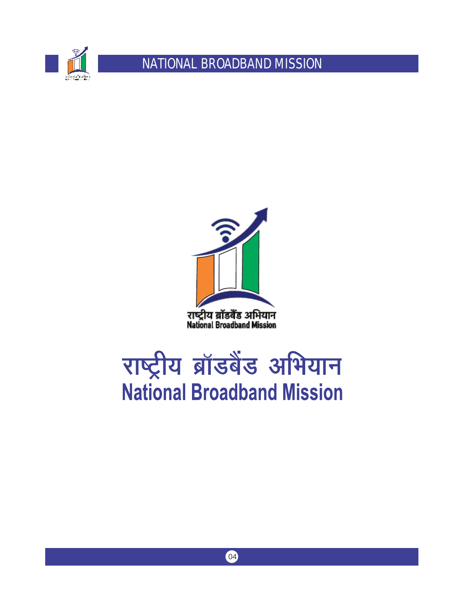



# राष्ट्रीय ब्रॉडबैंड अभियान **National Broadband Mission**

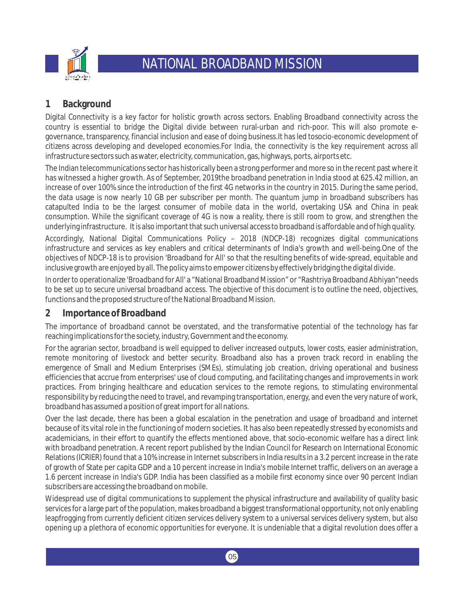

## **1 Background**

Digital Connectivity is a key factor for holistic growth across sectors. Enabling Broadband connectivity across the country is essential to bridge the Digital divide between rural-urban and rich-poor. This will also promote egovernance, transparency, financial inclusion and ease of doing business.It has led tosocio-economic development of citizens across developing and developed economies.For India, the connectivity is the key requirement across all infrastructure sectors such as water, electricity, communication, gas, highways, ports, airports etc.

The Indian telecommunications sector has historically been a strong performer and more so in the recent past where it has witnessed a higher growth. As of September, 2019the broadband penetration in India stood at 625.42 million, an increase of over 100% since the introduction of the first 4G networks in the country in 2015. During the same period, the data usage is now nearly 10 GB per subscriber per month. The quantum jump in broadband subscribers has catapulted India to be the largest consumer of mobile data in the world, overtaking USA and China in peak consumption. While the significant coverage of 4G is now a reality, there is still room to grow, and strengthen the underlying infrastructure. It is also important that such universal access to broadband is affordable and of high quality.

Accordingly, National Digital Communications Policy – 2018 (NDCP-18) recognizes digital communications infrastructure and services as key enablers and critical determinants of India's growth and well-being.One of the objectives of NDCP-18 is to provision 'Broadband for All' so that the resulting benefits of wide-spread, equitable and inclusive growth are enjoyed by all. The policy aims to empower citizens by effectively bridging the digital divide.

In order to operationalize 'Broadband for All' a "National Broadband Mission" or "Rashtriya Broadband Abhiyan"needs to be set up to secure universal broadband access. The objective of this document is to outline the need, objectives, functions and the proposed structure of the National Broadband Mission.

## **2 Importance of Broadband**

The importance of broadband cannot be overstated, and the transformative potential of the technology has far reaching implications for the society, industry, Government and the economy.

For the agrarian sector, broadband is well equipped to deliver increased outputs, lower costs, easier administration, remote monitoring of livestock and better security. Broadband also has a proven track record in enabling the emergence of Small and Medium Enterprises (SMEs), stimulating job creation, driving operational and business efficiencies that accrue from enterprises' use of cloud computing, and facilitating changes and improvements in work practices. From bringing healthcare and education services to the remote regions, to stimulating environmental responsibility by reducing the need to travel, and revamping transportation, energy, and even the very nature of work, broadband has assumed a position of great import for all nations.

Over the last decade, there has been a global escalation in the penetration and usage of broadband and internet because of its vital role in the functioning of modern societies. It has also been repeatedly stressed by economists and academicians, in their effort to quantify the effects mentioned above, that socio-economic welfare has a direct link with broadband penetration. A recent report published by the Indian Council for Research on International Economic Relations (ICRIER) found that a 10% increase in Internet subscribers in India results in a 3.2 percent increase in the rate of growth of State per capita GDP and a 10 percent increase in India's mobile Internet traffic, delivers on an average a 1.6 percent increase in India's GDP. India has been classified as a mobile first economy since over 90 percent Indian subscribers are accessing the broadband on mobile.

Widespread use of digital communications to supplement the physical infrastructure and availability of quality basic services for a large part of the population, makes broadband a biggest transformational opportunity, not only enabling leapfrogging from currently deficient citizen services delivery system to a universal services delivery system, but also opening up a plethora of economic opportunities for everyone. It is undeniable that a digital revolution does offer a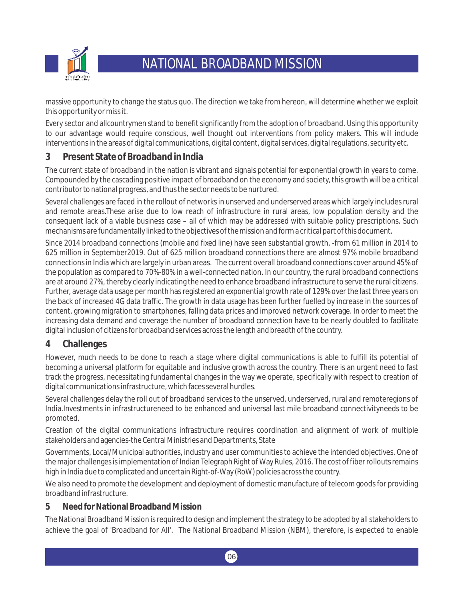

massive opportunity to change the status quo. The direction we take from hereon, will determine whether we exploit this opportunity or miss it.

Every sector and allcountrymen stand to benefit significantly from the adoption of broadband. Using this opportunity to our advantage would require conscious, well thought out interventions from policy makers. This will include interventions in the areas of digital communications, digital content, digital services, digital regulations, security etc.

## **3 Present State of Broadband in India**

The current state of broadband in the nation is vibrant and signals potential for exponential growth in years to come. Compounded by the cascading positive impact of broadband on the economy and society, this growth will be a critical contributor to national progress, and thus the sector needs to be nurtured.

Several challenges are faced in the rollout of networks in unserved and underserved areas which largely includes rural and remote areas.These arise due to low reach of infrastructure in rural areas, low population density and the consequent lack of a viable business case – all of which may be addressed with suitable policy prescriptions. Such mechanisms are fundamentally linked to the objectives of the mission and form a critical part of this document.

Since 2014 broadband connections (mobile and fixed line) have seen substantial growth, -from 61 million in 2014 to 625 million in September2019. Out of 625 million broadband connections there are almost 97% mobile broadband connections in India which are largely in urban areas. The current overall broadband connections cover around 45% of the population as compared to 70%-80% in a well-connected nation. In our country, the rural broadband connections are at around 27%, thereby clearly indicating the need to enhance broadband infrastructure to serve the rural citizens. Further, average data usage per month has registered an exponential growth rate of 129% over the last three years on the back of increased 4G data traffic. The growth in data usage has been further fuelled by increase in the sources of content, growing migration to smartphones, falling data prices and improved network coverage. In order to meet the increasing data demand and coverage the number of broadband connection have to be nearly doubled to facilitate digital inclusion of citizens for broadband services across the length and breadth of the country.

## **4 Challenges**

However, much needs to be done to reach a stage where digital communications is able to fulfill its potential of becoming a universal platform for equitable and inclusive growth across the country. There is an urgent need to fast track the progress, necessitating fundamental changes in the way we operate, specifically with respect to creation of digital communications infrastructure, which faces several hurdles.

Several challenges delay the roll out of broadband services to the unserved, underserved, rural and remoteregions of India.Investments in infrastructureneed to be enhanced and universal last mile broadband connectivityneeds to be promoted.

Creation of the digital communications infrastructure requires coordination and alignment of work of multiple stakeholders and agencies-the Central Ministries and Departments, State

Governments, Local/Municipal authorities, industry and user communities to achieve the intended objectives. One of the major challenges is implementation of Indian Telegraph Right of Way Rules, 2016. The cost of fiber rollouts remains high in India due to complicated and uncertain Right-of-Way (RoW) policies across the country.

We also need to promote the development and deployment of domestic manufacture of telecom goods for providing broadband infrastructure.

#### **5 Need for National Broadband Mission**

The National Broadband Mission is required to design and implement the strategy to be adopted by all stakeholders to achieve the goal of 'Broadband for All'. The National Broadband Mission (NBM), therefore, is expected to enable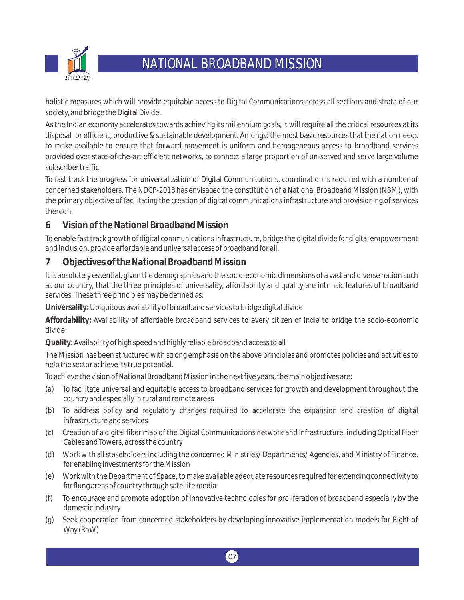

holistic measures which will provide equitable access to Digital Communications across all sections and strata of our society, and bridge the Digital Divide.

As the Indian economy accelerates towards achieving its millennium goals, it will require all the critical resources at its disposal for efficient, productive & sustainable development. Amongst the most basic resources that the nation needs to make available to ensure that forward movement is uniform and homogeneous access to broadband services provided over state-of-the-art efficient networks, to connect a large proportion of un-served and serve large volume subscriber traffic.

To fast track the progress for universalization of Digital Communications, coordination is required with a number of concerned stakeholders. The NDCP-2018 has envisaged the constitution of a National Broadband Mission (NBM), with the primary objective of facilitating the creation of digital communications infrastructure and provisioning of services thereon.

## **6 Vision of the National Broadband Mission**

To enable fast track growth of digital communications infrastructure, bridge the digital divide for digital empowerment and inclusion, provide affordable and universal access of broadband for all.

## **7 Objectives of the National Broadband Mission**

It is absolutely essential, given the demographics and the socio-economic dimensions of a vast and diverse nation such as our country, that the three principles of universality, affordability and quality are intrinsic features of broadband services. These three principles may be defined as:

**Universality:**Ubiquitous availability of broadband services to bridge digital divide

**Affordability:** Availability of affordable broadband services to every citizen of India to bridge the socio-economic divide

**Quality:**Availability of high speed and highly reliable broadband access to all

The Mission has been structured with strong emphasis on the above principles and promotes policies and activities to help the sector achieve its true potential.

To achieve the vision of National Broadband Mission in the next five years, the main objectives are:

- (a) To facilitate universal and equitable access to broadband services for growth and development throughout the country and especially in rural and remote areas
- (b) To address policy and regulatory changes required to accelerate the expansion and creation of digital infrastructure and services
- (c) Creation of a digital fiber map of the Digital Communications network and infrastructure, including Optical Fiber Cables and Towers, across the country
- (d) Work with all stakeholders including the concerned Ministries/ Departments/ Agencies, and Ministry of Finance, for enabling investments for the Mission
- (e) Work with the Department of Space, to make available adequate resources required for extending connectivity to far flung areas of country through satellite media
- (f) To encourage and promote adoption of innovative technologies for proliferation of broadband especially by the domestic industry
- (g) Seek cooperation from concerned stakeholders by developing innovative implementation models for Right of Way (RoW)

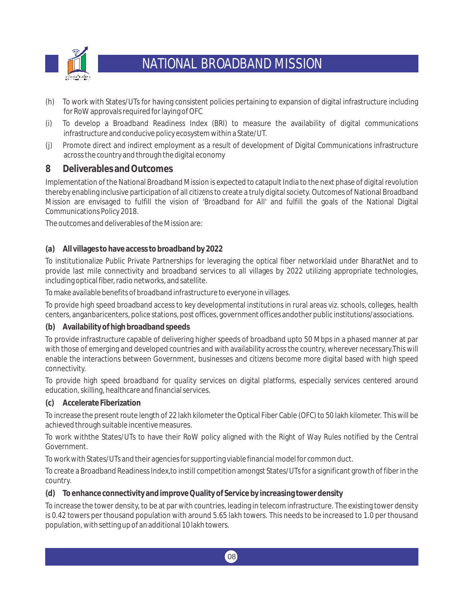

- (h) To work with States/UTs for having consistent policies pertaining to expansion of digital infrastructure including for RoW approvals required for laying of OFC
- (i) To develop a Broadband Readiness Index (BRI) to measure the availability of digital communications infrastructure and conducive policy ecosystem within a State/UT.
- (j) Promote direct and indirect employment as a result of development of Digital Communications infrastructure across the country and through the digital economy

### **8 Deliverables and Outcomes**

Implementation of the National Broadband Mission is expected to catapult India to the next phase of digital revolution thereby enabling inclusive participation of all citizens to create a truly digital society. Outcomes of National Broadband Mission are envisaged to fulfill the vision of 'Broadband for All' and fulfill the goals of the National Digital Communications Policy 2018.

The outcomes and deliverables of the Mission are:

#### **(a) All villages to have access to broadband by 2022**

To institutionalize Public Private Partnerships for leveraging the optical fiber networklaid under BharatNet and to provide last mile connectivity and broadband services to all villages by 2022 utilizing appropriate technologies, including optical fiber, radio networks, and satellite.

To make available benefits of broadband infrastructure to everyone in villages.

To provide high speed broadband access to key developmental institutions in rural areas viz. schools, colleges, health centers, anganbaricenters, police stations, post offices, government offices andother public institutions/associations.

#### **(b) Availability of high broadband speeds**

To provide infrastructure capable of delivering higher speeds of broadband upto 50 Mbps in a phased manner at par with those of emerging and developed countries and with availability across the country, wherever necessary.This will enable the interactions between Government, businesses and citizens become more digital based with high speed connectivity.

To provide high speed broadband for quality services on digital platforms, especially services centered around education, skilling, healthcare and financial services.

**(c) Accelerate Fiberization** 

To increase the present route length of 22 lakh kilometer the Optical Fiber Cable (OFC) to 50 lakh kilometer. This will be achieved through suitable incentive measures.

To work withthe States/UTs to have their RoW policy aligned with the Right of Way Rules notified by the Central Government.

To work with States/UTs and their agencies for supporting viable financial model for common duct.

To create a Broadband Readiness Index,to instill competition amongst States/UTs for a significant growth of fiber in the country.

**(d) To enhance connectivity and improve Quality of Service by increasing tower density**

To increase the tower density, to be at par with countries, leading in telecom infrastructure. The existing tower density is 0.42 towers per thousand population with around 5.65 lakh towers. This needs to be increased to 1.0 per thousand population, with setting up of an additional 10 lakh towers.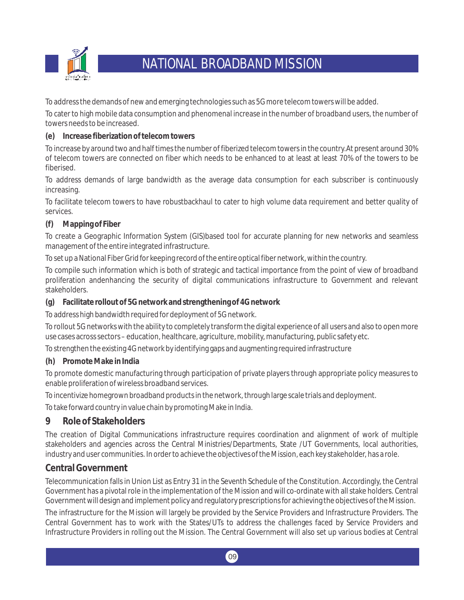

To address the demands of new and emerging technologies such as 5G more telecom towers will be added.

To cater to high mobile data consumption and phenomenal increase in the number of broadband users, the number of towers needs to be increased.

#### **(e) Increase fiberization of telecom towers**

To increase by around two and half times the number of fiberized telecom towers in the country.At present around 30% of telecom towers are connected on fiber which needs to be enhanced to at least at least 70% of the towers to be fiberised.

To address demands of large bandwidth as the average data consumption for each subscriber is continuously increasing.

To facilitate telecom towers to have robustbackhaul to cater to high volume data requirement and better quality of services.

**(f) Mapping of Fiber**

To create a Geographic Information System (GIS)based tool for accurate planning for new networks and seamless management of the entire integrated infrastructure.

To set up a National Fiber Grid for keeping record of the entire optical fiber network, within the country.

To compile such information which is both of strategic and tactical importance from the point of view of broadband proliferation andenhancing the security of digital communications infrastructure to Government and relevant stakeholders.

#### **(g) Facilitate rollout of 5G network and strengthening of 4G network**

To address high bandwidth required for deployment of 5G network.

To rollout 5G networks with the ability to completely transform the digital experience of all users and also to open more use cases across sectors – education, healthcare, agriculture, mobility, manufacturing, public safety etc.

To strengthen the existing 4G network by identifying gaps and augmenting required infrastructure

**(h) Promote Make in India**

To promote domestic manufacturing through participation of private players through appropriate policy measures to enable proliferation of wireless broadband services.

To incentivize homegrown broadband products in the network, through large scale trials and deployment.

To take forward country in value chain by promoting Make in India.

#### **9 Role of Stakeholders**

The creation of Digital Communications infrastructure requires coordination and alignment of work of multiple stakeholders and agencies across the Central Ministries/Departments, State /UT Governments, local authorities, industry and user communities. In order to achieve the objectives of the Mission, each key stakeholder, has a role.

## **Central Government**

Telecommunication falls in Union List as Entry 31 in the Seventh Schedule of the Constitution. Accordingly, the Central Government has a pivotal role in the implementation of the Mission and will co-ordinate with all stake holders. Central Government will design and implement policy and regulatory prescriptions for achieving the objectives of the Mission.

The infrastructure for the Mission will largely be provided by the Service Providers and Infrastructure Providers. The Central Government has to work with the States/UTs to address the challenges faced by Service Providers and Infrastructure Providers in rolling out the Mission. The Central Government will also set up various bodies at Central

 $09$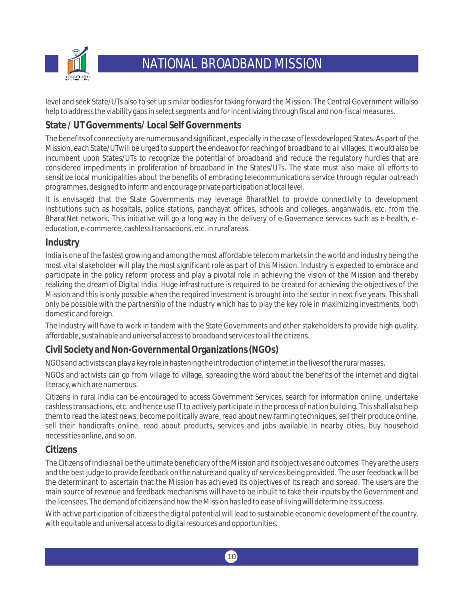

level and seek State/UTs also to set up similar bodies for taking forward the Mission. The Central Government willalso help to address the viability gaps in select segments and for incentivizing through fiscal and non-fiscal measures.

## **State / UT Governments/ Local Self Governments**

The benefits of connectivity are numerous and significant, especially in the case of less developed States. As part of the Mission, each State/UTwill be urged to support the endeavor for reaching of broadband to all villages. It would also be incumbent upon States/UTs to recognize the potential of broadband and reduce the regulatory hurdles that are considered impediments in proliferation of broadband in the States/UTs. The state must also make all efforts to sensitize local municipalities about the benefits of embracing telecommunications service through regular outreach programmes, designed to inform and encourage private participation at local level.

It is envisaged that the State Governments may leverage BharatNet to provide connectivity to development institutions such as hospitals, police stations, panchayat offices, schools and colleges, anganwadis, etc, from the BharatNet network. This initiative will go a long way in the delivery of e-Governance services such as e-health, eeducation, e-commerce, cashless transactions, etc. in rural areas.

#### **Industry**

India is one of the fastest growing and among the most affordable telecom markets in the world and industry being the most vital stakeholder will play the most significant role as part of this Mission. Industry is expected to embrace and participate in the policy reform process and play a pivotal role in achieving the vision of the Mission and thereby realizing the dream of Digital India. Huge infrastructure is required to be created for achieving the objectives of the Mission and this is only possible when the required investment is brought into the sector in next five years. This shall only be possible with the partnership of the industry which has to play the key role in maximizing investments, both domestic and foreign.

The Industry will have to work in tandem with the State Governments and other stakeholders to provide high quality, affordable, sustainable and universal access to broadband services to all the citizens.

## **Civil Society and Non-Governmental Organizations (NGOs)**

NGOs and activists can play a key role in hastening the introduction of internet in the lives of the rural masses.

NGOs and activists can go from village to village, spreading the word about the benefits of the internet and digital literacy, which are numerous.

Citizens in rural India can be encouraged to access Government Services, search for information online, undertake cashless transactions, etc. and hence use IT to actively participate in the process of nation building. This shall also help them to read the latest news, become politically aware, read about new farming techniques, sell their produce online, sell their handicrafts online, read about products, services and jobs available in nearby cities, buy household necessities online, and so on.

#### **Citizens**

The Citizens of India shall be the ultimate beneficiary of the Mission and its objectives and outcomes. They are the users and the best judge to provide feedback on the nature and quality of services being provided. The user feedback will be the determinant to ascertain that the Mission has achieved its objectives of its reach and spread. The users are the main source of revenue and feedback mechanisms will have to be inbuilt to take their inputs by the Government and the licensees. The demand of citizens and how the Mission has led to ease of living will determine its success.

With active participation of citizens the digital potential will lead to sustainable economic development of the country, with equitable and universal access to digital resources and opportunities.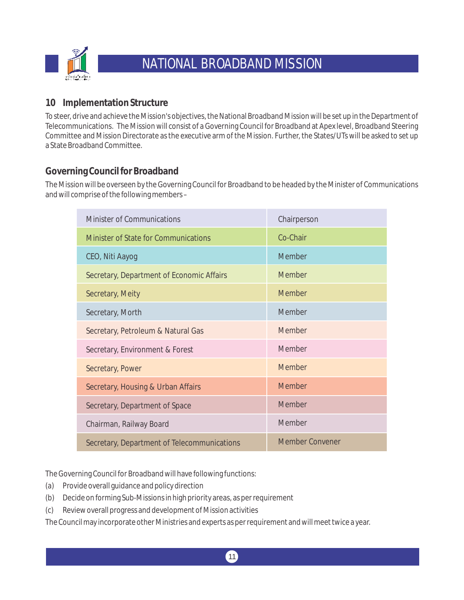

## **10 Implementation Structure**

To steer, drive and achieve the Mission's objectives, the National Broadband Mission will be set up in the Department of Telecommunications. The Mission will consist of a Governing Council for Broadband at Apex level, Broadband Steering Committee and Mission Directorate as the executive arm of the Mission. Further, the States/UTs will be asked to set up a State Broadband Committee.

## **Governing Council for Broadband**

The Mission will be overseen by the Governing Council for Broadband to be headed by the Minister of Communications and will comprise of the following members –

| <b>Minister of Communications</b>           | Chairperson            |
|---------------------------------------------|------------------------|
| Minister of State for Communications        | Co-Chair               |
| CEO, Niti Aayog                             | Member                 |
| Secretary, Department of Economic Affairs   | Member                 |
| Secretary, Meity                            | Member                 |
| Secretary, Morth                            | Member                 |
| Secretary, Petroleum & Natural Gas          | Member                 |
| Secretary, Environment & Forest             | Member                 |
| Secretary, Power                            | Member                 |
| Secretary, Housing & Urban Affairs          | Member                 |
| Secretary, Department of Space              | <b>Member</b>          |
| Chairman, Railway Board                     | Member                 |
| Secretary, Department of Telecommunications | <b>Member Convener</b> |

The Governing Council for Broadband will have following functions:

- (a) Provide overall guidance and policy direction
- (b) Decide on forming Sub-Missions in high priority areas, as per requirement
- (c) Review overall progress and development of Mission activities

The Council may incorporate other Ministries and experts as per requirement and will meet twice a year.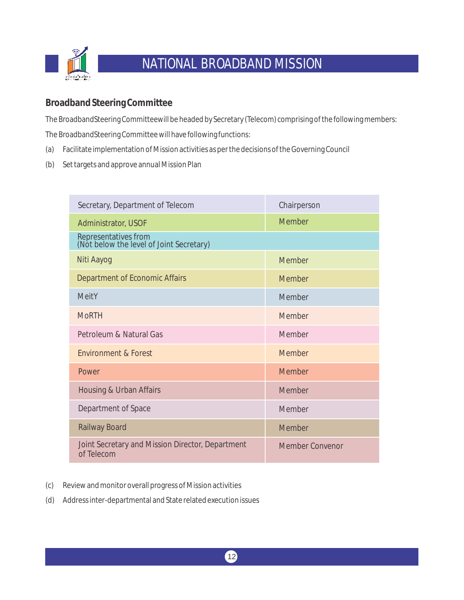

## **Broadband Steering Committee**

The BroadbandSteering Committeewill be headed by Secretary (Telecom) comprising of the following members:

The BroadbandSteering Committee will have following functions:

- (a) Facilitate implementation of Mission activities as per the decisions of the Governing Council
- (b) Set targets and approve annual Mission Plan

| Secretary, Department of Telecom                                 | Chairperson            |
|------------------------------------------------------------------|------------------------|
| Administrator, USOF                                              | <b>Member</b>          |
| Representatives from<br>(Not below the level of Joint Secretary) |                        |
| Niti Aayog                                                       | Member                 |
| Department of Economic Affairs                                   | Member                 |
| <b>MeitY</b>                                                     | Member                 |
| <b>MoRTH</b>                                                     | Member                 |
| Petroleum & Natural Gas                                          | Member                 |
| <b>Environment &amp; Forest</b>                                  | Member                 |
| Power                                                            | <b>Member</b>          |
| Housing & Urban Affairs                                          | Member                 |
| Department of Space                                              | Member                 |
| Railway Board                                                    | <b>Member</b>          |
| Joint Secretary and Mission Director, Department<br>of Telecom   | <b>Member Convenor</b> |

- (c) Review and monitor overall progress of Mission activities
- (d) Address inter-departmental and State related execution issues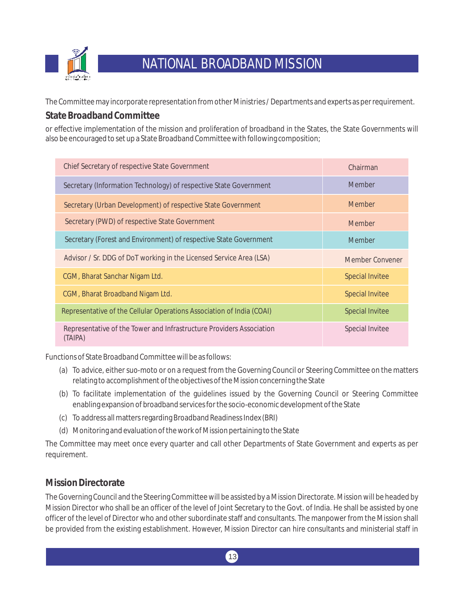

The Committee may incorporate representation from other Ministries / Departments and experts as per requirement.

## **State Broadband Committee**

or effective implementation of the mission and proliferation of broadband in the States, the State Governments will also be encouraged to set up a State Broadband Committee with following composition;

| Chief Secretary of respective State Government                                  | Chairman               |
|---------------------------------------------------------------------------------|------------------------|
| Secretary (Information Technology) of respective State Government               | Member                 |
| Secretary (Urban Development) of respective State Government                    | Member                 |
| Secretary (PWD) of respective State Government                                  | Member                 |
| Secretary (Forest and Environment) of respective State Government               | Member                 |
| Advisor / Sr. DDG of DoT working in the Licensed Service Area (LSA)             | Member Convener        |
| CGM, Bharat Sanchar Nigam Ltd.                                                  | <b>Special Invitee</b> |
| CGM, Bharat Broadband Nigam Ltd.                                                | <b>Special Invitee</b> |
| Representative of the Cellular Operations Association of India (COAI)           | <b>Special Invitee</b> |
| Representative of the Tower and Infrastructure Providers Association<br>(TAIPA) | Special Invitee        |

Functions of State Broadband Committee will be as follows:

- (a) To advice, either suo-moto or on a request from the Governing Council or Steering Committee on the matters relating to accomplishment of the objectives of the Mission concerning the State
- (b) To facilitate implementation of the guidelines issued by the Governing Council or Steering Committee enabling expansion of broadband services for the socio-economic development of the State
- (c) To address all matters regarding Broadband Readiness Index (BRI)
- (d) Monitoring and evaluation of the work of Mission pertaining to the State

The Committee may meet once every quarter and call other Departments of State Government and experts as per requirement.

## **Mission Directorate**

The Governing Council and the Steering Committee will be assisted by a Mission Directorate. Mission will be headed by Mission Director who shall be an officer of the level of Joint Secretary to the Govt. of India. He shall be assisted by one officer of the level of Director who and other subordinate staff and consultants. The manpower from the Mission shall be provided from the existing establishment. However, Mission Director can hire consultants and ministerial staff in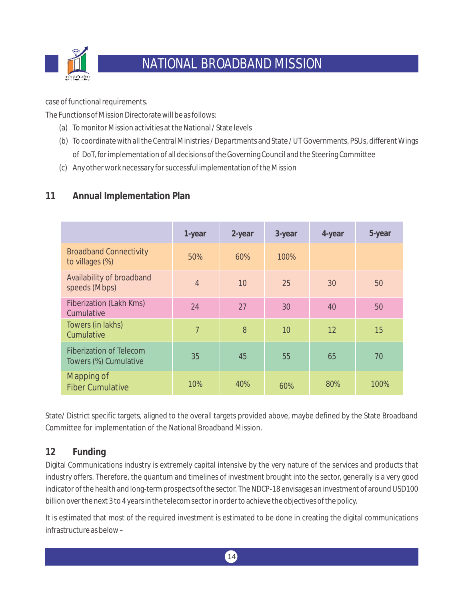

case of functional requirements.

The Functions of Mission Directorate will be as follows:

- (a) To monitor Mission activities at the National / State levels
- (b) To coordinate with all the Central Ministries / Departments and State / UT Governments, PSUs, different Wings of DoT, for implementation of all decisions of the Governing Council and the Steering Committee
- (c) Any other work necessary for successful implementation of the Mission

## **11 Annual Implementation Plan**

|                                                         | 1-year         | 2-year | 3-year          | 4-year | 5-year |
|---------------------------------------------------------|----------------|--------|-----------------|--------|--------|
| <b>Broadband Connectivity</b><br>to villages (%)        | 50%            | 60%    | 100%            |        |        |
| Availability of broadband<br>speeds (Mbps)              | $\overline{4}$ | 10     | 25              | 30     | 50     |
| Fiberization (Lakh Kms)<br>Cumulative                   | 24             | 27     | 30              | 40     | 50     |
| Towers (in lakhs)<br>Cumulative                         | $\overline{7}$ | 8      | 10 <sup>°</sup> | 12     | 15     |
| <b>Fiberization of Telecom</b><br>Towers (%) Cumulative | 35             | 45     | 55              | 65     | 70     |
| Mapping of<br><b>Fiber Cumulative</b>                   | 10%            | 40%    | 60%             | 80%    | 100%   |

State/ District specific targets, aligned to the overall targets provided above, maybe defined by the State Broadband Committee for implementation of the National Broadband Mission.

## **12 Funding**

Digital Communications industry is extremely capital intensive by the very nature of the services and products that industry offers. Therefore, the quantum and timelines of investment brought into the sector, generally is a very good indicator of the health and long-term prospects of the sector. The NDCP-18 envisages an investment of around USD100 billion over the next 3 to 4 years in the telecom sector in order to achieve the objectives of the policy.

It is estimated that most of the required investment is estimated to be done in creating the digital communications infrastructure as below –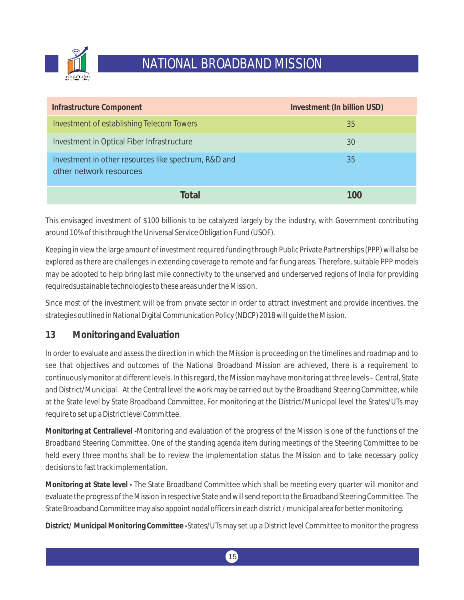

| Infrastructure Component                                                        | Investment (In billion USD) |
|---------------------------------------------------------------------------------|-----------------------------|
| Investment of establishing Telecom Towers                                       | 35                          |
| Investment in Optical Fiber Infrastructure                                      | 30                          |
| Investment in other resources like spectrum, R&D and<br>other network resources | 35                          |
| Total                                                                           | 100                         |

This envisaged investment of \$100 billionis to be catalyzed largely by the industry, with Government contributing around 10% of this through the Universal Service Obligation Fund (USOF).

Keeping in view the large amount of investment required funding through Public Private Partnerships (PPP) will also be explored as there are challenges in extending coverage to remote and far flung areas. Therefore, suitable PPP models may be adopted to help bring last mile connectivity to the unserved and underserved regions of India for providing requiredsustainable technologies to these areas under the Mission.

Since most of the investment will be from private sector in order to attract investment and provide incentives, the strategies outlined in National Digital Communication Policy (NDCP) 2018 will guide the Mission.

## **13 Monitoring and Evaluation**

In order to evaluate and assess the direction in which the Mission is proceeding on the timelines and roadmap and to see that objectives and outcomes of the National Broadband Mission are achieved, there is a requirement to continuously monitor at different levels. In this regard, the Mission may have monitoring at three levels – Central, State and District/Municipal. At the Central level the work may be carried out by the Broadband Steering Committee, while at the State level by State Broadband Committee. For monitoring at the District/Municipal level the States/UTs may require to set up a District level Committee.

**Monitoring at Centrallevel -**Monitoring and evaluation of the progress of the Mission is one of the functions of the Broadband Steering Committee. One of the standing agenda item during meetings of the Steering Committee to be held every three months shall be to review the implementation status the Mission and to take necessary policy decisions to fast track implementation.

**Monitoring at State level -** The State Broadband Committee which shall be meeting every quarter will monitor and evaluate the progress of the Mission in respective State and will send report to the Broadband Steering Committee. The State Broadband Committee may also appoint nodal officers in each district / municipal area for better monitoring.

**District/ Municipal Monitoring Committee -**States/UTs may set up a District level Committee to monitor the progress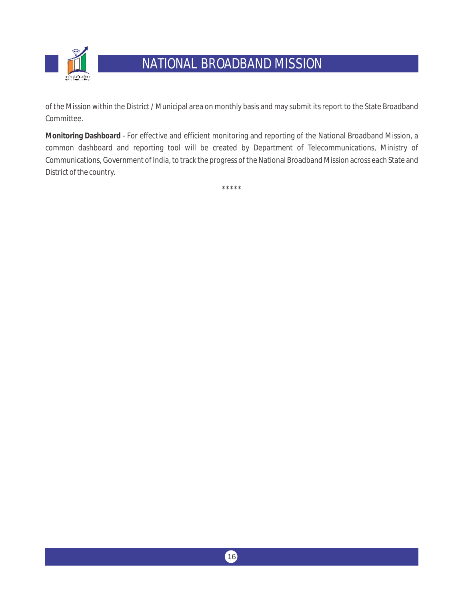

of the Mission within the District / Municipal area on monthly basis and may submit its report to the State Broadband Committee.

**Monitoring Dashboard** - For effective and efficient monitoring and reporting of the National Broadband Mission, a common dashboard and reporting tool will be created by Department of Telecommunications, Ministry of Communications, Government of India, to track the progress of the National Broadband Mission across each State and District of the country.

\*\*\*\*\*